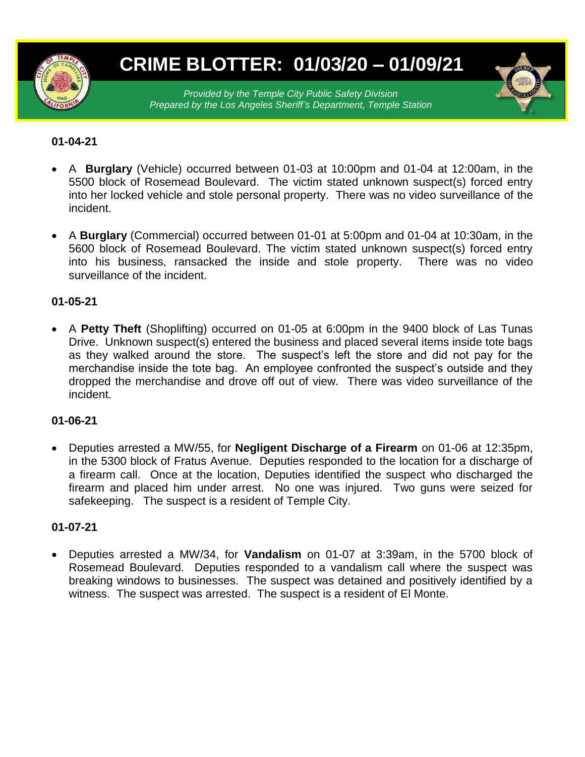

# **CRIME BLOTTER: 01/03/20 – 01/09/21**

*Provided by the Temple City Public Safety Division Prepared by the Los Angeles Sheriff's Department, Temple Station*

# **01-04-21**

- A **Burglary** (Vehicle) occurred between 01-03 at 10:00pm and 01-04 at 12:00am, in the 5500 block of Rosemead Boulevard. The victim stated unknown suspect(s) forced entry into her locked vehicle and stole personal property. There was no video surveillance of the incident.
- A **Burglary** (Commercial) occurred between 01-01 at 5:00pm and 01-04 at 10:30am, in the 5600 block of Rosemead Boulevard. The victim stated unknown suspect(s) forced entry into his business, ransacked the inside and stole property. There was no video surveillance of the incident.

# **01-05-21**

 A **Petty Theft** (Shoplifting) occurred on 01-05 at 6:00pm in the 9400 block of Las Tunas Drive. Unknown suspect(s) entered the business and placed several items inside tote bags as they walked around the store. The suspect's left the store and did not pay for the merchandise inside the tote bag. An employee confronted the suspect's outside and they dropped the merchandise and drove off out of view. There was video surveillance of the incident.

# **01-06-21**

 Deputies arrested a MW/55, for **Negligent Discharge of a Firearm** on 01-06 at 12:35pm, in the 5300 block of Fratus Avenue. Deputies responded to the location for a discharge of a firearm call. Once at the location, Deputies identified the suspect who discharged the firearm and placed him under arrest. No one was injured. Two guns were seized for safekeeping. The suspect is a resident of Temple City.

#### **01-07-21**

 Deputies arrested a MW/34, for **Vandalism** on 01-07 at 3:39am, in the 5700 block of Rosemead Boulevard. Deputies responded to a vandalism call where the suspect was breaking windows to businesses. The suspect was detained and positively identified by a witness. The suspect was arrested. The suspect is a resident of El Monte.